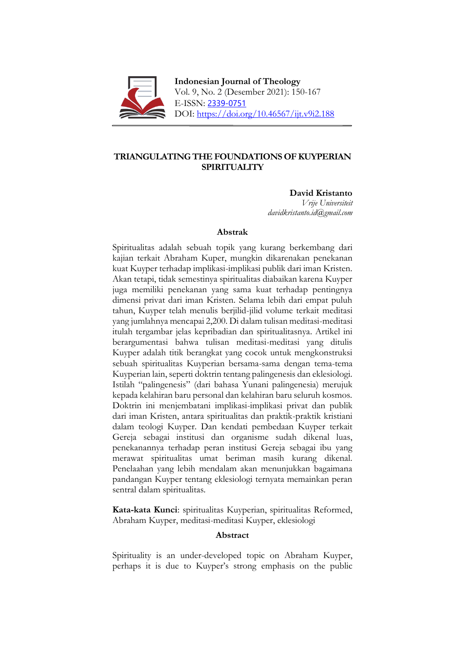

**Indonesian Journal of Theology** Vol. 9, No. 2 (Desember 2021): 150-167 E-ISSN: [2339-0751](http://u.lipi.go.id/1380233667) DOI: https://doi.org/10.46567/ijt.v9i2.188

# **TRIANGULATING THE FOUNDATIONS OF KUYPERIAN SPIRITUALITY**

**David Kristanto**

*Vrije Universiteit davidkristanto.id@gmail.com*

# **Abstrak**

Spiritualitas adalah sebuah topik yang kurang berkembang dari kajian terkait Abraham Kuper, mungkin dikarenakan penekanan kuat Kuyper terhadap implikasi-implikasi publik dari iman Kristen. Akan tetapi, tidak semestinya spiritualitas diabaikan karena Kuyper juga memiliki penekanan yang sama kuat terhadap pentingnya dimensi privat dari iman Kristen. Selama lebih dari empat puluh tahun, Kuyper telah menulis berjilid-jilid volume terkait meditasi yang jumlahnya mencapai 2,200. Di dalam tulisan meditasi-meditasi itulah tergambar jelas kepribadian dan spiritualitasnya. Artikel ini berargumentasi bahwa tulisan meditasi-meditasi yang ditulis Kuyper adalah titik berangkat yang cocok untuk mengkonstruksi sebuah spiritualitas Kuyperian bersama-sama dengan tema-tema Kuyperian lain, seperti doktrin tentang palingenesis dan eklesiologi. Istilah "palingenesis" (dari bahasa Yunani palingenesia) merujuk kepada kelahiran baru personal dan kelahiran baru seluruh kosmos. Doktrin ini menjembatani implikasi-implikasi privat dan publik dari iman Kristen, antara spiritualitas dan praktik-praktik kristiani dalam teologi Kuyper. Dan kendati pembedaan Kuyper terkait Gereja sebagai institusi dan organisme sudah dikenal luas, penekanannya terhadap peran institusi Gereja sebagai ibu yang merawat spiritualitas umat beriman masih kurang dikenal. Penelaahan yang lebih mendalam akan menunjukkan bagaimana pandangan Kuyper tentang eklesiologi ternyata memainkan peran sentral dalam spiritualitas.

**Kata-kata Kunci**: spiritualitas Kuyperian, spiritualitas Reformed, Abraham Kuyper, meditasi-meditasi Kuyper, eklesiologi

# **Abstract**

Spirituality is an under-developed topic on Abraham Kuyper, perhaps it is due to Kuyper's strong emphasis on the public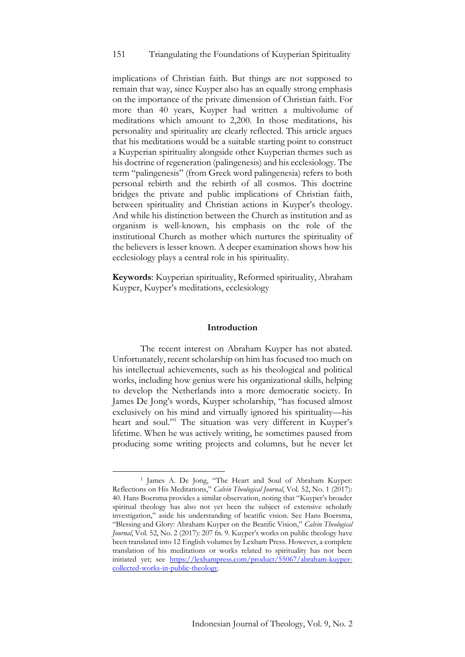### 151 Triangulating the Foundations of Kuyperian Spirituality

implications of Christian faith. But things are not supposed to remain that way, since Kuyper also has an equally strong emphasis on the importance of the private dimension of Christian faith. For more than 40 years, Kuyper had written a multivolume of meditations which amount to 2,200. In those meditations, his personality and spirituality are clearly reflected. This article argues that his meditations would be a suitable starting point to construct a Kuyperian spirituality alongside other Kuyperian themes such as his doctrine of regeneration (palingenesis) and his ecclesiology. The term "palingenesis" (from Greek word palingenesia) refers to both personal rebirth and the rebirth of all cosmos. This doctrine bridges the private and public implications of Christian faith, between spirituality and Christian actions in Kuyper's theology. And while his distinction between the Church as institution and as organism is well-known, his emphasis on the role of the institutional Church as mother which nurtures the spirituality of the believers is lesser known. A deeper examination shows how his ecclesiology plays a central role in his spirituality.

**Keywords**: Kuyperian spirituality, Reformed spirituality, Abraham Kuyper, Kuyper's meditations, ecclesiology

#### **Introduction**

The recent interest on Abraham Kuyper has not abated. Unfortunately, recent scholarship on him has focused too much on his intellectual achievements, such as his theological and political works, including how genius were his organizational skills, helping to develop the Netherlands into a more democratic society. In James De Jong's words, Kuyper scholarship, "has focused almost exclusively on his mind and virtually ignored his spirituality—his heart and soul."<sup>1</sup> The situation was very different in Kuyper's lifetime. When he was actively writing, he sometimes paused from producing some writing projects and columns, but he never let

<sup>1</sup> James A. De Jong, "The Heart and Soul of Abraham Kuyper: Reflections on His Meditations," *Calvin Theological Journal*, Vol. 52, No. 1 (2017): 40. Hans Boersma provides a similar observation, noting that "Kuyper's broader spiritual theology has also not yet been the subject of extensive scholarly investigation," aside his understanding of beatific vision. See Hans Boersma, "Blessing and Glory: Abraham Kuyper on the Beatific Vision," *Calvin Theological Journal*, Vol. 52, No. 2 (2017): 207 fn. 9. Kuyper's works on public theology have been translated into 12 English volumes by Lexham Press. However, a complete translation of his meditations or works related to spirituality has not been initiated yet; see [https://lexhampress.com/product/55067/abraham-kuyper](https://lexhampress.com/product/55067/abraham-kuyper-collected-works-in-public-theology)[collected-works-in-public-theology.](https://lexhampress.com/product/55067/abraham-kuyper-collected-works-in-public-theology)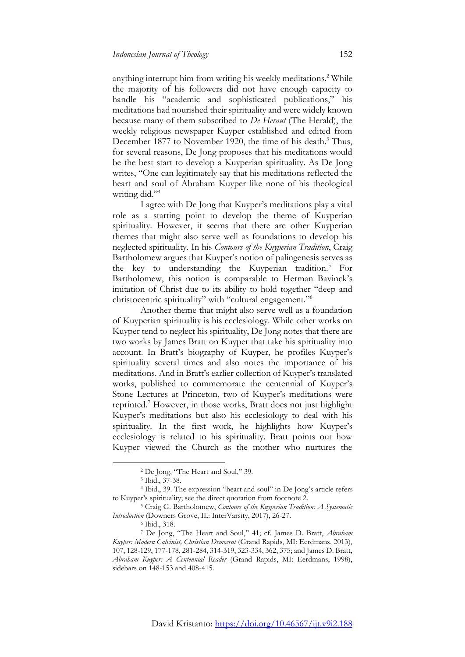anything interrupt him from writing his weekly meditations.<sup>2</sup> While the majority of his followers did not have enough capacity to handle his "academic and sophisticated publications," his meditations had nourished their spirituality and were widely known because many of them subscribed to *De Heraut* (The Herald), the weekly religious newspaper Kuyper established and edited from December 1877 to November 1920, the time of his death.<sup>3</sup> Thus, for several reasons, De Jong proposes that his meditations would be the best start to develop a Kuyperian spirituality. As De Jong writes, "One can legitimately say that his meditations reflected the heart and soul of Abraham Kuyper like none of his theological writing did."<sup>4</sup>

I agree with De Jong that Kuyper's meditations play a vital role as a starting point to develop the theme of Kuyperian spirituality. However, it seems that there are other Kuyperian themes that might also serve well as foundations to develop his neglected spirituality. In his *Contours of the Kuyperian Tradition*, Craig Bartholomew argues that Kuyper's notion of palingenesis serves as the key to understanding the Kuyperian tradition.<sup>5</sup> For Bartholomew, this notion is comparable to Herman Bavinck's imitation of Christ due to its ability to hold together "deep and christocentric spirituality" with "cultural engagement."<sup>6</sup>

Another theme that might also serve well as a foundation of Kuyperian spirituality is his ecclesiology. While other works on Kuyper tend to neglect his spirituality, De Jong notes that there are two works by James Bratt on Kuyper that take his spirituality into account. In Bratt's biography of Kuyper, he profiles Kuyper's spirituality several times and also notes the importance of his meditations. And in Bratt's earlier collection of Kuyper's translated works, published to commemorate the centennial of Kuyper's Stone Lectures at Princeton, two of Kuyper's meditations were reprinted.<sup>7</sup> However, in those works, Bratt does not just highlight Kuyper's meditations but also his ecclesiology to deal with his spirituality. In the first work, he highlights how Kuyper's ecclesiology is related to his spirituality. Bratt points out how Kuyper viewed the Church as the mother who nurtures the

<sup>2</sup> De Jong, "The Heart and Soul," 39.

<sup>3</sup> Ibid., 37-38.

<sup>4</sup> Ibid., 39. The expression "heart and soul" in De Jong's article refers to Kuyper's spirituality; see the direct quotation from footnote 2.

<sup>5</sup> Craig G. Bartholomew, *Contours of the Kuyperian Tradition: A Systematic Introduction* (Downers Grove, IL: InterVarsity, 2017), 26-27.

<sup>6</sup> Ibid., 318.

<sup>7</sup> De Jong, "The Heart and Soul," 41; cf. James D. Bratt, *Abraham Kuyper: Modern Calvinist, Christian Democrat* (Grand Rapids, MI: Eerdmans, 2013), 107, 128-129, 177-178, 281-284, 314-319, 323-334, 362, 375; and James D. Bratt, *Abraham Kuyper: A Centennial Reader* (Grand Rapids, MI: Eerdmans, 1998), sidebars on 148-153 and 408-415.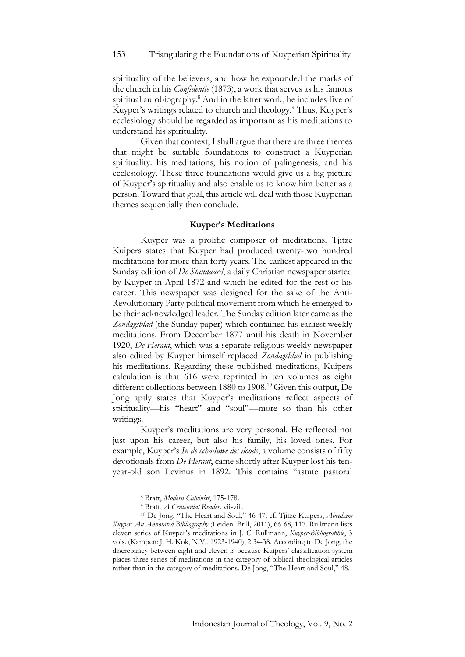spirituality of the believers, and how he expounded the marks of the church in his *Confidentie* (1873), a work that serves as his famous spiritual autobiography.<sup>8</sup> And in the latter work, he includes five of Kuyper's writings related to church and theology.<sup>9</sup> Thus, Kuyper's ecclesiology should be regarded as important as his meditations to understand his spirituality.

Given that context, I shall argue that there are three themes that might be suitable foundations to construct a Kuyperian spirituality: his meditations, his notion of palingenesis, and his ecclesiology. These three foundations would give us a big picture of Kuyper's spirituality and also enable us to know him better as a person. Toward that goal, this article will deal with those Kuyperian themes sequentially then conclude.

### **Kuyper's Meditations**

Kuyper was a prolific composer of meditations. Tjitze Kuipers states that Kuyper had produced twenty-two hundred meditations for more than forty years. The earliest appeared in the Sunday edition of *De Standaard*, a daily Christian newspaper started by Kuyper in April 1872 and which he edited for the rest of his career. This newspaper was designed for the sake of the Anti-Revolutionary Party political movement from which he emerged to be their acknowledged leader. The Sunday edition later came as the *Zondagsblad* (the Sunday paper) which contained his earliest weekly meditations. From December 1877 until his death in November 1920, *De Heraut*, which was a separate religious weekly newspaper also edited by Kuyper himself replaced *Zondagsblad* in publishing his meditations. Regarding these published meditations, Kuipers calculation is that 616 were reprinted in ten volumes as eight different collections between 1880 to 1908.<sup>10</sup> Given this output, De Jong aptly states that Kuyper's meditations reflect aspects of spirituality—his "heart" and "soul"—more so than his other writings.

Kuyper's meditations are very personal. He reflected not just upon his career, but also his family, his loved ones. For example, Kuyper's *In de schaduwe des doods*, a volume consists of fifty devotionals from *De Heraut*, came shortly after Kuyper lost his tenyear-old son Levinus in 1892. This contains "astute pastoral

<sup>8</sup> Bratt, *Modern Calvinist*, 175-178.

<sup>9</sup> Bratt, *A Centennial Reader,* vii-viii.

<sup>10</sup> De Jong, "The Heart and Soul," 46-47; cf. Tjitze Kuipers, *Abraham Kuyper: An Annotated Bibliography* (Leiden: Brill, 2011), 66-68, 117. Rullmann lists eleven series of Kuyper's meditations in J. C. Rullmann, *Kuyper-Bibliographie*, 3 vols. (Kampen: J. H. Kok, N.V., 1923-1940), 2:34-38. According to De Jong, the discrepancy between eight and eleven is because Kuipers' classification system places three series of meditations in the category of biblical-theological articles rather than in the category of meditations. De Jong, "The Heart and Soul," 48.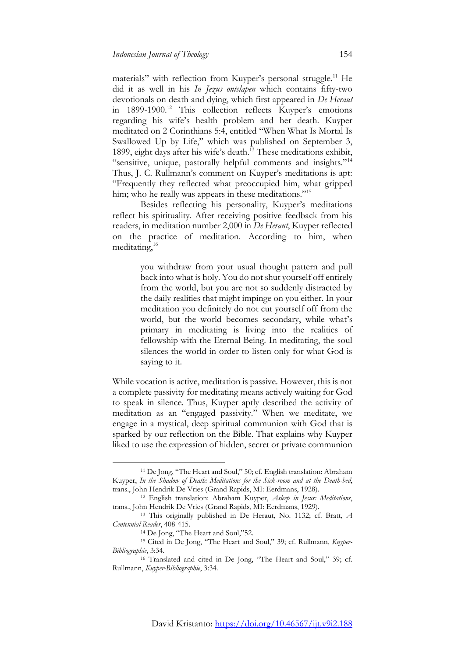materials" with reflection from Kuyper's personal struggle.<sup>11</sup> He did it as well in his *In Jezus ontslapen* which contains fifty-two devotionals on death and dying, which first appeared in *De Heraut* in 1899-1900.<sup>12</sup> This collection reflects Kuyper's emotions regarding his wife's health problem and her death. Kuyper meditated on 2 Corinthians 5:4, entitled "When What Is Mortal Is Swallowed Up by Life," which was published on September 3, 1899, eight days after his wife's death.<sup>13</sup> These meditations exhibit, "sensitive, unique, pastorally helpful comments and insights."<sup>14</sup> Thus, J. C. Rullmann's comment on Kuyper's meditations is apt: "Frequently they reflected what preoccupied him, what gripped him; who he really was appears in these meditations."<sup>15</sup>

Besides reflecting his personality, Kuyper's meditations reflect his spirituality. After receiving positive feedback from his readers, in meditation number 2,000 in *De Heraut*, Kuyper reflected on the practice of meditation. According to him, when meditating,<sup>16</sup>

> you withdraw from your usual thought pattern and pull back into what is holy. You do not shut yourself off entirely from the world, but you are not so suddenly distracted by the daily realities that might impinge on you either. In your meditation you definitely do not cut yourself off from the world, but the world becomes secondary, while what's primary in meditating is living into the realities of fellowship with the Eternal Being. In meditating, the soul silences the world in order to listen only for what God is saying to it.

While vocation is active, meditation is passive. However, this is not a complete passivity for meditating means actively waiting for God to speak in silence. Thus, Kuyper aptly described the activity of meditation as an "engaged passivity." When we meditate, we engage in a mystical, deep spiritual communion with God that is sparked by our reflection on the Bible. That explains why Kuyper liked to use the expression of hidden, secret or private communion

<sup>11</sup> De Jong, "The Heart and Soul," 50; cf. English translation: Abraham Kuyper, *In the Shadow of Death: Meditations for the Sick-room and at the Death-bed*, trans., John Hendrik De Vries (Grand Rapids, MI: Eerdmans, 1928).

<sup>12</sup> English translation: Abraham Kuyper, *Asleep in Jesus: Meditations*, trans., John Hendrik De Vries (Grand Rapids, MI: Eerdmans, 1929).

<sup>13</sup> This originally published in De Heraut, No. 1132; cf. Bratt, *A Centennial Reader*, 408-415.

<sup>&</sup>lt;sup>14</sup> De Jong, "The Heart and Soul,"52.

<sup>15</sup> Cited in De Jong, "The Heart and Soul," 39; cf. Rullmann, *Kuyper-Bibliographie*, 3:34.

<sup>16</sup> Translated and cited in De Jong, "The Heart and Soul," 39; cf. Rullmann, *Kuyper-Bibliographie*, 3:34.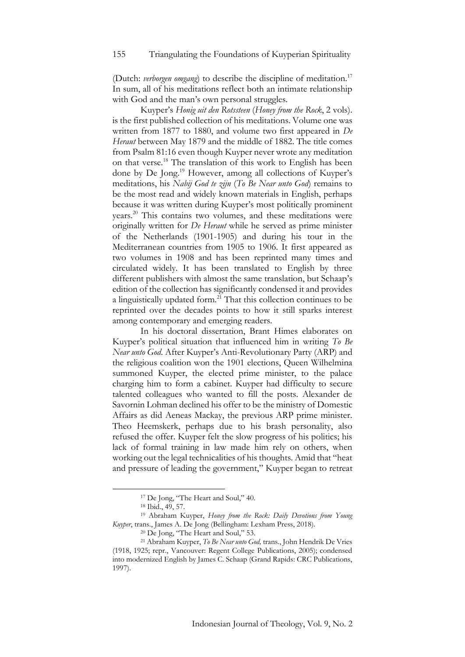(Dutch: *verborgen omgang*) to describe the discipline of meditation.<sup>17</sup> In sum, all of his meditations reflect both an intimate relationship with God and the man's own personal struggles.

Kuyper's *Honig uit den Rotssteen* (*Honey from the Rock*, 2 vols). is the first published collection of his meditations. Volume one was written from 1877 to 1880, and volume two first appeared in *De Heraut* between May 1879 and the middle of 1882. The title comes from Psalm 81:16 even though Kuyper never wrote any meditation on that verse.<sup>18</sup> The translation of this work to English has been done by De Jong.<sup>19</sup> However, among all collections of Kuyper's meditations, his *Nabij God te zijn* (*To Be Near unto God*) remains to be the most read and widely known materials in English, perhaps because it was written during Kuyper's most politically prominent years.<sup>20</sup> This contains two volumes, and these meditations were originally written for *De Heraut* while he served as prime minister of the Netherlands (1901-1905) and during his tour in the Mediterranean countries from 1905 to 1906. It first appeared as two volumes in 1908 and has been reprinted many times and circulated widely. It has been translated to English by three different publishers with almost the same translation, but Schaap's edition of the collection has significantly condensed it and provides a linguistically updated form.<sup>21</sup> That this collection continues to be reprinted over the decades points to how it still sparks interest among contemporary and emerging readers.

In his doctoral dissertation, Brant Himes elaborates on Kuyper's political situation that influenced him in writing *To Be Near unto God*. After Kuyper's Anti-Revolutionary Party (ARP) and the religious coalition won the 1901 elections, Queen Wilhelmina summoned Kuyper, the elected prime minister, to the palace charging him to form a cabinet. Kuyper had difficulty to secure talented colleagues who wanted to fill the posts. Alexander de Savornin Lohman declined his offer to be the ministry of Domestic Affairs as did Aeneas Mackay, the previous ARP prime minister. Theo Heemskerk, perhaps due to his brash personality, also refused the offer. Kuyper felt the slow progress of his politics; his lack of formal training in law made him rely on others, when working out the legal technicalities of his thoughts. Amid that "heat and pressure of leading the government," Kuyper began to retreat

<sup>&</sup>lt;sup>17</sup> De Jong, "The Heart and Soul," 40.

<sup>18</sup> Ibid., 49, 57.

<sup>19</sup> Abraham Kuyper, *Honey from the Rock: Daily Devotions from Young Kuyper*, trans., James A. De Jong (Bellingham: Lexham Press, 2018).

<sup>&</sup>lt;sup>20</sup> De Jong, "The Heart and Soul," 53.

<sup>21</sup> Abraham Kuyper, *To Be Near unto God,* trans., John Hendrik De Vries (1918, 1925; repr., Vancouver: Regent College Publications, 2005); condensed into modernized English by James C. Schaap (Grand Rapids: CRC Publications, 1997).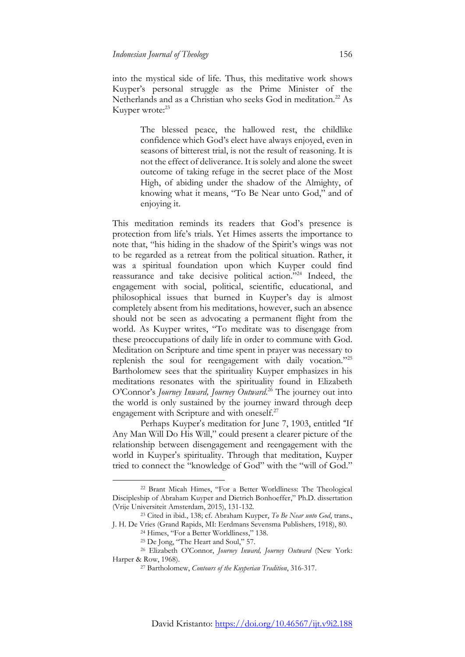into the mystical side of life. Thus, this meditative work shows Kuyper's personal struggle as the Prime Minister of the Netherlands and as a Christian who seeks God in meditation.<sup>22</sup> As Kuyper wrote:<sup>23</sup>

> The blessed peace, the hallowed rest, the childlike confidence which God's elect have always enjoyed, even in seasons of bitterest trial, is not the result of reasoning. It is not the effect of deliverance. It is solely and alone the sweet outcome of taking refuge in the secret place of the Most High, of abiding under the shadow of the Almighty, of knowing what it means, "To Be Near unto God," and of enjoying it.

This meditation reminds its readers that God's presence is protection from life's trials. Yet Himes asserts the importance to note that, "his hiding in the shadow of the Spirit's wings was not to be regarded as a retreat from the political situation. Rather, it was a spiritual foundation upon which Kuyper could find reassurance and take decisive political action."<sup>24</sup> Indeed, the engagement with social, political, scientific, educational, and philosophical issues that burned in Kuyper's day is almost completely absent from his meditations, however, such an absence should not be seen as advocating a permanent flight from the world. As Kuyper writes, "To meditate was to disengage from these preoccupations of daily life in order to commune with God. Meditation on Scripture and time spent in prayer was necessary to replenish the soul for reengagement with daily vocation."<sup>25</sup> Bartholomew sees that the spirituality Kuyper emphasizes in his meditations resonates with the spirituality found in Elizabeth O'Connor's *Journey Inward, Journey Outward*. <sup>26</sup> The journey out into the world is only sustained by the journey inward through deep engagement with Scripture and with oneself.<sup>27</sup>

Perhaps Kuyper's meditation for June 7, 1903, entitled "If Any Man Will Do His Will," could present a clearer picture of the relationship between disengagement and reengagement with the world in Kuyper's spirituality. Through that meditation, Kuyper tried to connect the "knowledge of God" with the "will of God."

<sup>22</sup> Brant Micah Himes, "For a Better Worldliness: The Theological Discipleship of Abraham Kuyper and Dietrich Bonhoeffer," Ph.D. dissertation (Vrije Universiteit Amsterdam, 2015), 131-132.

<sup>23</sup> Cited in ibid., 138; cf. Abraham Kuyper, *To Be Near unto God*, trans., J. H. De Vries (Grand Rapids, MI: Eerdmans Sevensma Publishers, 1918), 80.

<sup>&</sup>lt;sup>24</sup> Himes, "For a Better Worldliness," 138.

<sup>25</sup> De Jong, "The Heart and Soul," 57.

<sup>26</sup> Elizabeth O'Connor, *Journey Inward, Journey Outward* (New York: Harper & Row, 1968).

<sup>27</sup> Bartholomew, *Contours of the Kuyperian Tradition*, 316-317.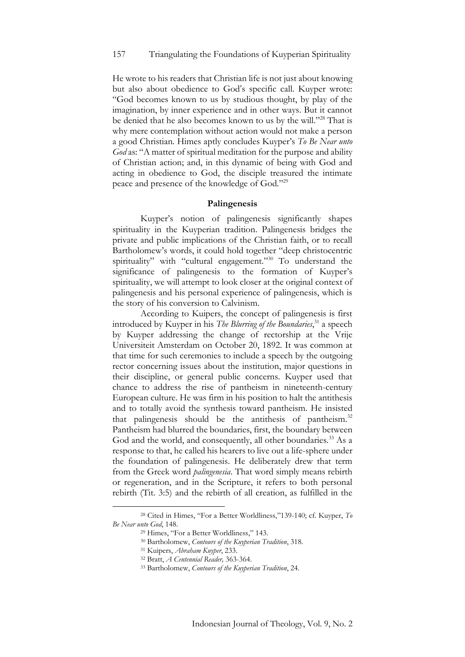### 157 Triangulating the Foundations of Kuyperian Spirituality

He wrote to his readers that Christian life is not just about knowing but also about obedience to God's specific call. Kuyper wrote: "God becomes known to us by studious thought, by play of the imagination, by inner experience and in other ways. But it cannot be denied that he also becomes known to us by the will."<sup>28</sup> That is why mere contemplation without action would not make a person a good Christian. Himes aptly concludes Kuyper's *To Be Near unto God* as: "A matter of spiritual meditation for the purpose and ability of Christian action; and, in this dynamic of being with God and acting in obedience to God, the disciple treasured the intimate peace and presence of the knowledge of God."<sup>29</sup>

#### **Palingenesis**

Kuyper's notion of palingenesis significantly shapes spirituality in the Kuyperian tradition. Palingenesis bridges the private and public implications of the Christian faith, or to recall Bartholomew's words, it could hold together "deep christocentric spirituality" with "cultural engagement."<sup>30</sup> To understand the significance of palingenesis to the formation of Kuyper's spirituality, we will attempt to look closer at the original context of palingenesis and his personal experience of palingenesis, which is the story of his conversion to Calvinism.

According to Kuipers, the concept of palingenesis is first introduced by Kuyper in his *The Blurring of the Boundaries*, <sup>31</sup> a speech by Kuyper addressing the change of rectorship at the Vrije Universiteit Amsterdam on October 20, 1892. It was common at that time for such ceremonies to include a speech by the outgoing rector concerning issues about the institution, major questions in their discipline, or general public concerns. Kuyper used that chance to address the rise of pantheism in nineteenth-century European culture. He was firm in his position to halt the antithesis and to totally avoid the synthesis toward pantheism. He insisted that palingenesis should be the antithesis of pantheism.<sup>32</sup> Pantheism had blurred the boundaries, first, the boundary between God and the world, and consequently, all other boundaries.<sup>33</sup> As a response to that, he called his hearers to live out a life-sphere under the foundation of palingenesis. He deliberately drew that term from the Greek word *palingenesia*. That word simply means rebirth or regeneration, and in the Scripture, it refers to both personal rebirth (Tit. 3:5) and the rebirth of all creation, as fulfilled in the

<sup>28</sup> Cited in Himes, "For a Better Worldliness,"139-140; cf. Kuyper, *To Be Near unto God*, 148.

<sup>29</sup> Himes, "For a Better Worldliness," 143.

<sup>30</sup> Bartholomew, *Contours of the Kuyperian Tradition*, 318.

<sup>31</sup> Kuipers, *Abraham Kuyper*, 233.

<sup>32</sup> Bratt, *A Centennial Reader,* 363-364.

<sup>33</sup> Bartholomew, *Contours of the Kuyperian Tradition*, 24.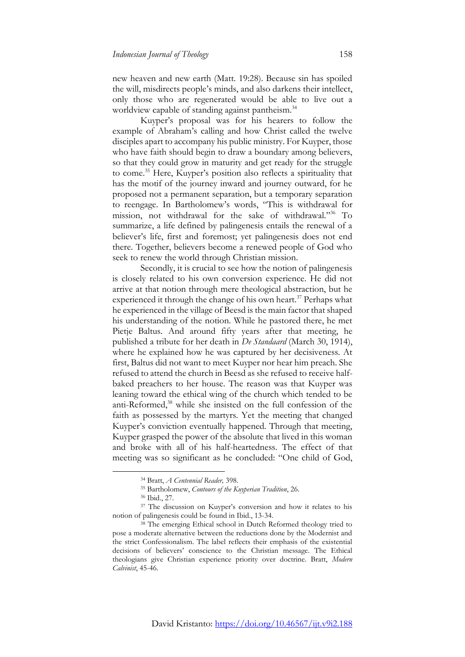new heaven and new earth (Matt. 19:28). Because sin has spoiled the will, misdirects people's minds, and also darkens their intellect, only those who are regenerated would be able to live out a worldview capable of standing against pantheism.<sup>34</sup>

Kuyper's proposal was for his hearers to follow the example of Abraham's calling and how Christ called the twelve disciples apart to accompany his public ministry. For Kuyper, those who have faith should begin to draw a boundary among believers, so that they could grow in maturity and get ready for the struggle to come.<sup>35</sup> Here, Kuyper's position also reflects a spirituality that has the motif of the journey inward and journey outward, for he proposed not a permanent separation, but a temporary separation to reengage. In Bartholomew's words, "This is withdrawal for mission, not withdrawal for the sake of withdrawal."<sup>36</sup> To summarize, a life defined by palingenesis entails the renewal of a believer's life, first and foremost; yet palingenesis does not end there. Together, believers become a renewed people of God who seek to renew the world through Christian mission.

Secondly, it is crucial to see how the notion of palingenesis is closely related to his own conversion experience. He did not arrive at that notion through mere theological abstraction, but he experienced it through the change of his own heart.<sup>37</sup> Perhaps what he experienced in the village of Beesd is the main factor that shaped his understanding of the notion. While he pastored there, he met Pietje Baltus. And around fifty years after that meeting, he published a tribute for her death in *De Standaard* (March 30, 1914), where he explained how he was captured by her decisiveness. At first, Baltus did not want to meet Kuyper nor hear him preach. She refused to attend the church in Beesd as she refused to receive halfbaked preachers to her house. The reason was that Kuyper was leaning toward the ethical wing of the church which tended to be anti-Reformed,<sup>38</sup> while she insisted on the full confession of the faith as possessed by the martyrs. Yet the meeting that changed Kuyper's conviction eventually happened. Through that meeting, Kuyper grasped the power of the absolute that lived in this woman and broke with all of his half-heartedness. The effect of that meeting was so significant as he concluded: "One child of God,

<sup>34</sup> Bratt, *A Centennial Reader,* 398.

<sup>35</sup> Bartholomew, *Contours of the Kuyperian Tradition*, 26.

<sup>36</sup> Ibid., 27.

<sup>&</sup>lt;sup>37</sup> The discussion on Kuyper's conversion and how it relates to his notion of palingenesis could be found in Ibid., 13-34.

<sup>&</sup>lt;sup>38</sup> The emerging Ethical school in Dutch Reformed theology tried to pose a moderate alternative between the reductions done by the Modernist and the strict Confessionalism. The label reflects their emphasis of the existential decisions of believers' conscience to the Christian message. The Ethical theologians give Christian experience priority over doctrine. Bratt, *Modern Calvinist*, 45-46.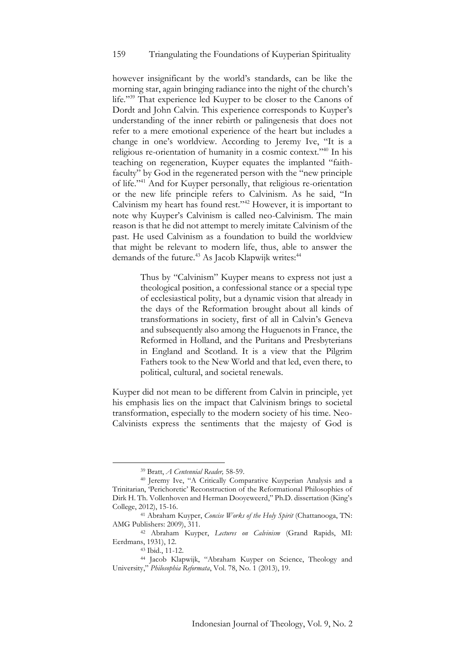however insignificant by the world's standards, can be like the morning star, again bringing radiance into the night of the church's life."<sup>39</sup> That experience led Kuyper to be closer to the Canons of Dordt and John Calvin. This experience corresponds to Kuyper's understanding of the inner rebirth or palingenesis that does not refer to a mere emotional experience of the heart but includes a change in one's worldview. According to Jeremy Ive, "It is a religious re-orientation of humanity in a cosmic context."<sup>40</sup> In his teaching on regeneration, Kuyper equates the implanted "faithfaculty" by God in the regenerated person with the "new principle of life."<sup>41</sup> And for Kuyper personally, that religious re-orientation or the new life principle refers to Calvinism. As he said, "In Calvinism my heart has found rest."<sup>42</sup> However, it is important to note why Kuyper's Calvinism is called neo-Calvinism. The main reason is that he did not attempt to merely imitate Calvinism of the past. He used Calvinism as a foundation to build the worldview that might be relevant to modern life, thus, able to answer the demands of the future.<sup>43</sup> As Jacob Klapwijk writes:<sup>44</sup>

> Thus by "Calvinism" Kuyper means to express not just a theological position, a confessional stance or a special type of ecclesiastical polity, but a dynamic vision that already in the days of the Reformation brought about all kinds of transformations in society, first of all in Calvin's Geneva and subsequently also among the Huguenots in France, the Reformed in Holland, and the Puritans and Presbyterians in England and Scotland. It is a view that the Pilgrim Fathers took to the New World and that led, even there, to political, cultural, and societal renewals.

Kuyper did not mean to be different from Calvin in principle, yet his emphasis lies on the impact that Calvinism brings to societal transformation, especially to the modern society of his time. Neo-Calvinists express the sentiments that the majesty of God is

<sup>39</sup> Bratt, *A Centennial Reader,* 58-59.

<sup>40</sup> Jeremy Ive, "A Critically Comparative Kuyperian Analysis and a Trinitarian, 'Perichoretic' Reconstruction of the Reformational Philosophies of Dirk H. Th. Vollenhoven and Herman Dooyeweerd," Ph.D. dissertation (King's College, 2012), 15-16.

<sup>41</sup> Abraham Kuyper, *Concise Works of the Holy Spirit* (Chattanooga, TN: AMG Publishers: 2009), 311.

<sup>42</sup> Abraham Kuyper, *Lectures on Calvinism* (Grand Rapids, MI: Eerdmans, 1931), 12.

<sup>43</sup> Ibid., 11-12.

<sup>44</sup> Jacob Klapwijk, "Abraham Kuyper on Science, Theology and University," *Philosophia Reformata*, Vol. 78, No. 1 (2013), 19.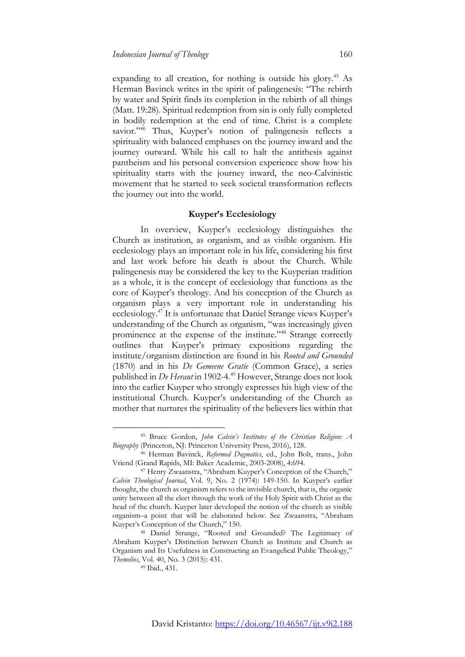expanding to all creation, for nothing is outside his glory.<sup>45</sup> As Herman Bavinck writes in the spirit of palingenesis: "The rebirth by water and Spirit finds its completion in the rebirth of all things (Matt. 19:28). Spiritual redemption from sin is only fully completed in bodily redemption at the end of time. Christ is a complete savior."<sup>46</sup> Thus, Kuyper's notion of palingenesis reflects a spirituality with balanced emphases on the journey inward and the journey outward. While his call to halt the antithesis against pantheism and his personal conversion experience show how his spirituality starts with the journey inward, the neo-Calvinistic movement that he started to seek societal transformation reflects the journey out into the world.

### **Kuyper's Ecclesiology**

In overview, Kuyper's ecclesiology distinguishes the Church as institution, as organism, and as visible organism. His ecclesiology plays an important role in his life, considering his first and last work before his death is about the Church. While palingenesis may be considered the key to the Kuyperian tradition as a whole, it is the concept of ecclesiology that functions as the core of Kuyper's theology. And his conception of the Church as organism plays a very important role in understanding his ecclesiology.<sup>47</sup> It is unfortunate that Daniel Strange views Kuyper's understanding of the Church as organism, "was increasingly given prominence at the expense of the institute."<sup>48</sup> Strange correctly outlines that Kuyper's primary expositions regarding the institute/organism distinction are found in his *Rooted and Grounded*  (1870) and in his *De Gemeene Gratie* (Common Grace), a series published in *De Heraut* in 1902-4*.* <sup>49</sup> However, Strange does not look into the earlier Kuyper who strongly expresses his high view of the institutional Church. Kuyper's understanding of the Church as mother that nurtures the spirituality of the believers lies within that

<sup>45</sup> Bruce Gordon, *John Calvin's Institutes of the Christian Religion: A Biography* (Princeton, NJ: Princeton University Press, 2016), 128.

<sup>46</sup> Herman Bavinck, *Reformed Dogmatics*, ed., John Bolt, trans., John Vriend (Grand Rapids, MI: Baker Academic, 2003-2008), 4:694.

<sup>47</sup> Henry Zwaanstra, "Abraham Kuyper's Conception of the Church," *Calvin Theological Journal*, Vol. 9, No. 2 (1974): 149-150. In Kuyper's earlier thought, the church as organism refers to the invisible church, that is, the organic unity between all the elect through the work of the Holy Spirit with Christ as the head of the church. Kuyper later developed the notion of the church as visible organism–a point that will be elaborated below. See Zwaanstra, "Abraham Kuyper's Conception of the Church," 150.

<sup>48</sup> Daniel Strange, "Rooted and Grounded? The Legitimacy of Abraham Kuyper's Distinction between Church as Institute and Church as Organism and Its Usefulness in Constructing an Evangelical Public Theology," *Themelios*, Vol. 40, No. 3 (2015): 431.

<sup>&</sup>lt;sup>49</sup> Ibid., 431.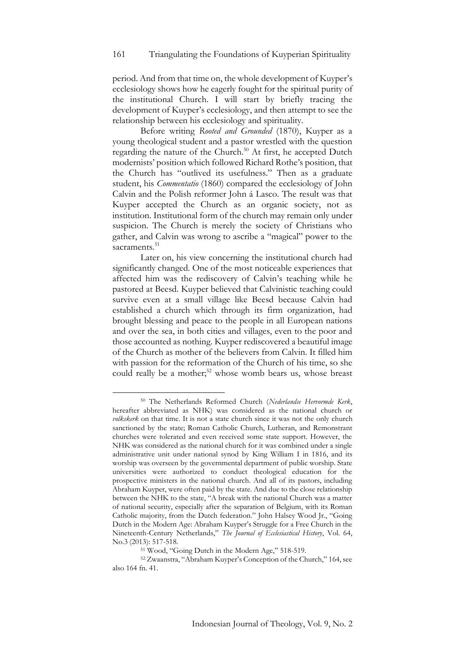period. And from that time on, the whole development of Kuyper's ecclesiology shows how he eagerly fought for the spiritual purity of the institutional Church. I will start by briefly tracing the development of Kuyper's ecclesiology, and then attempt to see the relationship between his ecclesiology and spirituality.

Before writing *Rooted and Grounded* (1870), Kuyper as a young theological student and a pastor wrestled with the question regarding the nature of the Church.<sup>50</sup> At first, he accepted Dutch modernists' position which followed Richard Rothe's position, that the Church has "outlived its usefulness." Then as a graduate student, his *Commentatio* (1860) compared the ecclesiology of John Calvin and the Polish reformer John á Lasco. The result was that Kuyper accepted the Church as an organic society, not as institution. Institutional form of the church may remain only under suspicion. The Church is merely the society of Christians who gather, and Calvin was wrong to ascribe a "magical" power to the sacraments.<sup>51</sup>

Later on, his view concerning the institutional church had significantly changed. One of the most noticeable experiences that affected him was the rediscovery of Calvin's teaching while he pastored at Beesd. Kuyper believed that Calvinistic teaching could survive even at a small village like Beesd because Calvin had established a church which through its firm organization, had brought blessing and peace to the people in all European nations and over the sea, in both cities and villages, even to the poor and those accounted as nothing. Kuyper rediscovered a beautiful image of the Church as mother of the believers from Calvin. It filled him with passion for the reformation of the Church of his time, so she could really be a mother;<sup>52</sup> whose womb bears us, whose breast

<sup>50</sup> The Netherlands Reformed Church (*Nederlandse Hervormde Kerk*, hereafter abbreviated as NHK) was considered as the national church or *volkskerk* on that time. It is not a state church since it was not the only church sanctioned by the state; Roman Catholic Church, Lutheran, and Remonstrant churches were tolerated and even received some state support. However, the NHK was considered as the national church for it was combined under a single administrative unit under national synod by King William I in 1816, and its worship was overseen by the governmental department of public worship. State universities were authorized to conduct theological education for the prospective ministers in the national church. And all of its pastors, including Abraham Kuyper, were often paid by the state. And due to the close relationship between the NHK to the state, "A break with the national Church was a matter of national security, especially after the separation of Belgium, with its Roman Catholic majority, from the Dutch federation." John Halsey Wood Jr., "Going Dutch in the Modern Age: Abraham Kuyper's Struggle for a Free Church in the Nineteenth-Century Netherlands," *The Journal of Ecclesiastical History*, Vol. 64, No.3 (2013): 517-518.

<sup>&</sup>lt;sup>51</sup> Wood, "Going Dutch in the Modern Age," 518-519.

<sup>52</sup> Zwaanstra, "Abraham Kuyper's Conception of the Church," 164, see also 164 fn. 41.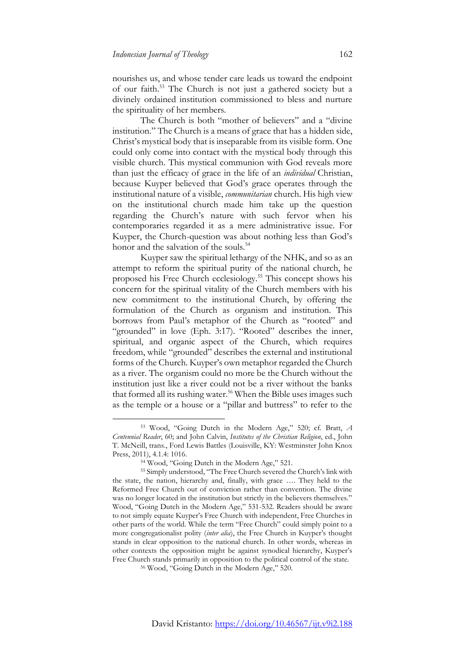nourishes us, and whose tender care leads us toward the endpoint of our faith.<sup>53</sup> The Church is not just a gathered society but a divinely ordained institution commissioned to bless and nurture the spirituality of her members.

The Church is both "mother of believers" and a "divine institution." The Church is a means of grace that has a hidden side, Christ's mystical body that is inseparable from its visible form. One could only come into contact with the mystical body through this visible church. This mystical communion with God reveals more than just the efficacy of grace in the life of an *individual* Christian, because Kuyper believed that God's grace operates through the institutional nature of a visible, *communitarian* church. His high view on the institutional church made him take up the question regarding the Church's nature with such fervor when his contemporaries regarded it as a mere administrative issue. For Kuyper, the Church-question was about nothing less than God's honor and the salvation of the souls.<sup>54</sup>

Kuyper saw the spiritual lethargy of the NHK, and so as an attempt to reform the spiritual purity of the national church, he proposed his Free Church ecclesiology.<sup>55</sup> This concept shows his concern for the spiritual vitality of the Church members with his new commitment to the institutional Church, by offering the formulation of the Church as organism and institution. This borrows from Paul's metaphor of the Church as "rooted" and "grounded" in love (Eph. 3:17). "Rooted" describes the inner, spiritual, and organic aspect of the Church, which requires freedom, while "grounded" describes the external and institutional forms of the Church. Kuyper's own metaphor regarded the Church as a river. The organism could no more be the Church without the institution just like a river could not be a river without the banks that formed all its rushing water.<sup>56</sup> When the Bible uses images such as the temple or a house or a "pillar and buttress" to refer to the

<sup>53</sup> Wood, "Going Dutch in the Modern Age," 520; cf. Bratt, *A Centennial Reader*, 60; and John Calvin, *Institutes of the Christian Religion*, ed., John T. McNeill, trans., Ford Lewis Battles (Louisville, KY: Westminster John Knox Press, 2011), 4.1.4: 1016.

<sup>54</sup> Wood, "Going Dutch in the Modern Age," 521.

<sup>55</sup> Simply understood, "The Free Church severed the Church's link with the state, the nation, hierarchy and, finally, with grace …. They held to the Reformed Free Church out of conviction rather than convention. The divine was no longer located in the institution but strictly in the believers themselves." Wood, "Going Dutch in the Modern Age," 531-532. Readers should be aware to not simply equate Kuyper's Free Church with independent, Free Churches in other parts of the world. While the term "Free Church" could simply point to a more congregationalist polity (*inter alia*), the Free Church in Kuyper's thought stands in clear opposition to the national church. In other words, whereas in other contexts the opposition might be against synodical hierarchy, Kuyper's Free Church stands primarily in opposition to the political control of the state.

<sup>56</sup> Wood, "Going Dutch in the Modern Age," 520.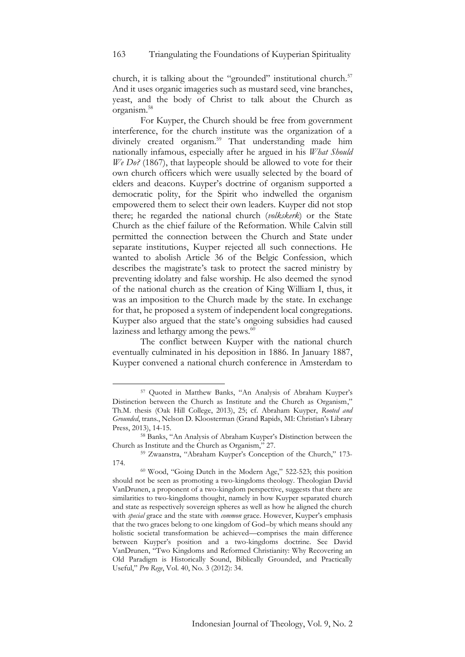church, it is talking about the "grounded" institutional church.<sup>57</sup> And it uses organic imageries such as mustard seed, vine branches, yeast, and the body of Christ to talk about the Church as organism.<sup>58</sup>

For Kuyper, the Church should be free from government interference, for the church institute was the organization of a divinely created organism.<sup>59</sup> That understanding made him nationally infamous, especially after he argued in his *What Should We Do?* (1867), that laypeople should be allowed to vote for their own church officers which were usually selected by the board of elders and deacons. Kuyper's doctrine of organism supported a democratic polity, for the Spirit who indwelled the organism empowered them to select their own leaders. Kuyper did not stop there; he regarded the national church (*volkskerk*) or the State Church as the chief failure of the Reformation. While Calvin still permitted the connection between the Church and State under separate institutions, Kuyper rejected all such connections. He wanted to abolish Article 36 of the Belgic Confession, which describes the magistrate's task to protect the sacred ministry by preventing idolatry and false worship. He also deemed the synod of the national church as the creation of King William I, thus, it was an imposition to the Church made by the state. In exchange for that, he proposed a system of independent local congregations. Kuyper also argued that the state's ongoing subsidies had caused laziness and lethargy among the pews.<sup>60</sup>

The conflict between Kuyper with the national church eventually culminated in his deposition in 1886. In January 1887, Kuyper convened a national church conference in Amsterdam to

<sup>57</sup> Quoted in Matthew Banks, "An Analysis of Abraham Kuyper's Distinction between the Church as Institute and the Church as Organism," Th.M. thesis (Oak Hill College, 2013), 25; cf. Abraham Kuyper, *Rooted and Grounded*, trans., Nelson D. Kloosterman (Grand Rapids, MI: Christian's Library Press, 2013), 14-15.

<sup>58</sup> Banks, "An Analysis of Abraham Kuyper's Distinction between the Church as Institute and the Church as Organism," 27.

<sup>59</sup> Zwaanstra, "Abraham Kuyper's Conception of the Church," 173- 174.

<sup>60</sup> Wood, "Going Dutch in the Modern Age," 522-523; this position should not be seen as promoting a two-kingdoms theology. Theologian David VanDrunen, a proponent of a two-kingdom perspective, suggests that there are similarities to two-kingdoms thought, namely in how Kuyper separated church and state as respectively sovereign spheres as well as how he aligned the church with *special* grace and the state with *common* grace. However, Kuyper's emphasis that the two graces belong to one kingdom of God–by which means should any holistic societal transformation be achieved—comprises the main difference between Kuyper's position and a two-kingdoms doctrine. See David VanDrunen, "Two Kingdoms and Reformed Christianity: Why Recovering an Old Paradigm is Historically Sound, Biblically Grounded, and Practically Useful," *Pro Rege*, Vol. 40, No. 3 (2012): 34.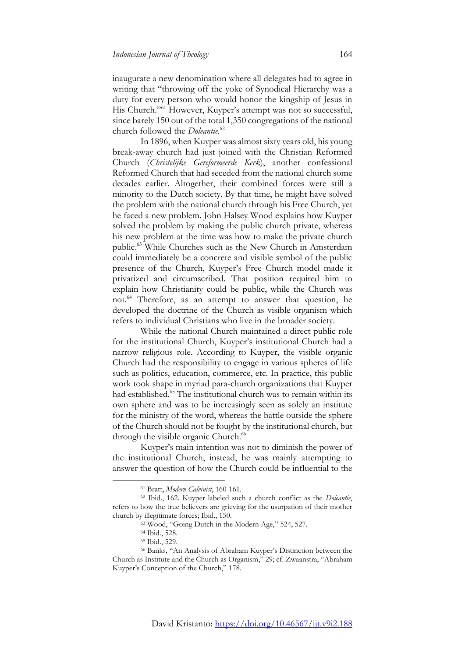inaugurate a new denomination where all delegates had to agree in writing that "throwing off the yoke of Synodical Hierarchy was a duty for every person who would honor the kingship of Jesus in His Church."<sup>61</sup> However, Kuyper's attempt was not so successful, since barely 150 out of the total 1,350 congregations of the national church followed the *Doleantie*. 62

In 1896, when Kuyper was almost sixty years old, his young break-away church had just joined with the Christian Reformed Church (*Christelijke Gereformeerde Kerk*), another confessional Reformed Church that had seceded from the national church some decades earlier. Altogether, their combined forces were still a minority to the Dutch society. By that time, he might have solved the problem with the national church through his Free Church, yet he faced a new problem. John Halsey Wood explains how Kuyper solved the problem by making the public church private, whereas his new problem at the time was how to make the private church public.<sup>63</sup> While Churches such as the New Church in Amsterdam could immediately be a concrete and visible symbol of the public presence of the Church, Kuyper's Free Church model made it privatized and circumscribed. That position required him to explain how Christianity could be public, while the Church was not.<sup>64</sup> Therefore, as an attempt to answer that question, he developed the doctrine of the Church as visible organism which refers to individual Christians who live in the broader society.

While the national Church maintained a direct public role for the institutional Church, Kuyper's institutional Church had a narrow religious role. According to Kuyper, the visible organic Church had the responsibility to engage in various spheres of life such as politics, education, commerce, etc. In practice, this public work took shape in myriad para-church organizations that Kuyper had established.<sup>65</sup> The institutional church was to remain within its own sphere and was to be increasingly seen as solely an institute for the ministry of the word, whereas the battle outside the sphere of the Church should not be fought by the institutional church, but through the visible organic Church.<sup>66</sup>

Kuyper's main intention was not to diminish the power of the institutional Church, instead, he was mainly attempting to answer the question of how the Church could be influential to the

<sup>61</sup> Bratt, *Modern Calvinist*, 160-161.

<sup>62</sup> Ibid., 162. Kuyper labeled such a church conflict as the *Doleantie*, refers to how the true believers are grieving for the usurpation of their mother church by illegitimate forces; Ibid., 150.

<sup>&</sup>lt;sup>63</sup> Wood, "Going Dutch in the Modern Age," 524, 527.

<sup>64</sup> Ibid., 528.

<sup>65</sup> Ibid., 529.

<sup>66</sup> Banks, "An Analysis of Abraham Kuyper's Distinction between the Church as Institute and the Church as Organism," 29; cf. Zwaanstra, "Abraham Kuyper's Conception of the Church," 178.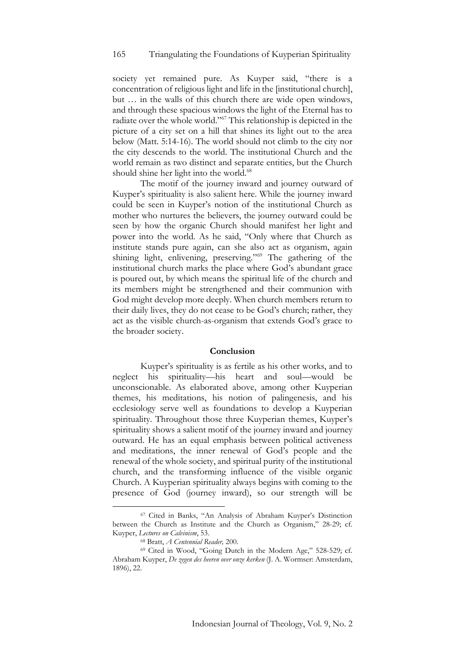### 165 Triangulating the Foundations of Kuyperian Spirituality

society yet remained pure. As Kuyper said, "there is a concentration of religious light and life in the [institutional church], but … in the walls of this church there are wide open windows, and through these spacious windows the light of the Eternal has to radiate over the whole world."<sup>67</sup> This relationship is depicted in the picture of a city set on a hill that shines its light out to the area below (Matt. 5:14-16). The world should not climb to the city nor the city descends to the world. The institutional Church and the world remain as two distinct and separate entities, but the Church should shine her light into the world.<sup>68</sup>

The motif of the journey inward and journey outward of Kuyper's spirituality is also salient here. While the journey inward could be seen in Kuyper's notion of the institutional Church as mother who nurtures the believers, the journey outward could be seen by how the organic Church should manifest her light and power into the world. As he said, "Only where that Church as institute stands pure again, can she also act as organism, again shining light, enlivening, preserving."<sup>69</sup> The gathering of the institutional church marks the place where God's abundant grace is poured out, by which means the spiritual life of the church and its members might be strengthened and their communion with God might develop more deeply. When church members return to their daily lives, they do not cease to be God's church; rather, they act as the visible church-as-organism that extends God's grace to the broader society.

# **Conclusion**

Kuyper's spirituality is as fertile as his other works, and to neglect his spirituality—his heart and soul—would be unconscionable. As elaborated above, among other Kuyperian themes, his meditations, his notion of palingenesis, and his ecclesiology serve well as foundations to develop a Kuyperian spirituality. Throughout those three Kuyperian themes, Kuyper's spirituality shows a salient motif of the journey inward and journey outward. He has an equal emphasis between political activeness and meditations, the inner renewal of God's people and the renewal of the whole society, and spiritual purity of the institutional church, and the transforming influence of the visible organic Church. A Kuyperian spirituality always begins with coming to the presence of God (journey inward), so our strength will be

<sup>67</sup> Cited in Banks, "An Analysis of Abraham Kuyper's Distinction between the Church as Institute and the Church as Organism," 28-29; cf. Kuyper, *Lectures on Calvinism*, 53.

<sup>68</sup> Bratt, *A Centennial Reader,* 200.

<sup>69</sup> Cited in Wood, "Going Dutch in the Modern Age," 528-529; cf. Abraham Kuyper, *De zegen des heeren over onze kerken* (J. A. Wormser: Amsterdam, 1896), 22.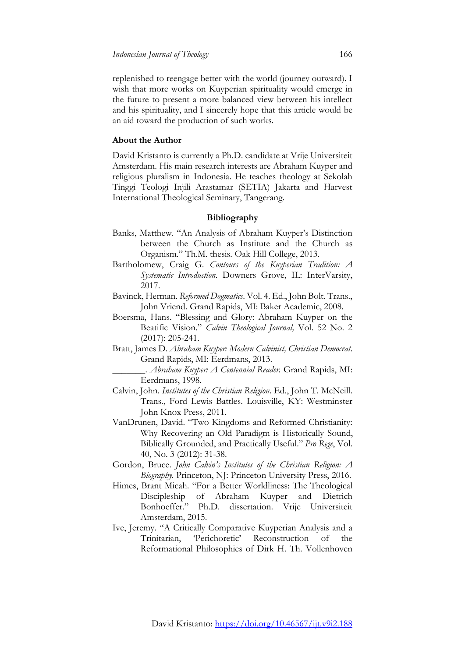replenished to reengage better with the world (journey outward). I wish that more works on Kuyperian spirituality would emerge in the future to present a more balanced view between his intellect and his spirituality, and I sincerely hope that this article would be an aid toward the production of such works.

# **About the Author**

David Kristanto is currently a Ph.D. candidate at Vrije Universiteit Amsterdam. His main research interests are Abraham Kuyper and religious pluralism in Indonesia. He teaches theology at Sekolah Tinggi Teologi Injili Arastamar (SETIA) Jakarta and Harvest International Theological Seminary, Tangerang.

# **Bibliography**

- Banks, Matthew. "An Analysis of Abraham Kuyper's Distinction between the Church as Institute and the Church as Organism." Th.M. thesis. Oak Hill College, 2013.
- Bartholomew, Craig G. *Contours of the Kuyperian Tradition: A Systematic Introduction*. Downers Grove, IL: InterVarsity, 2017.
- Bavinck, Herman. *Reformed Dogmatics*. Vol. 4. Ed., John Bolt. Trans., John Vriend. Grand Rapids, MI: Baker Academic, 2008.
- Boersma, Hans. "Blessing and Glory: Abraham Kuyper on the Beatific Vision." *Calvin Theological Journal,* Vol. 52 No. 2 (2017): 205-241.
- Bratt, James D. *Abraham Kuyper: Modern Calvinist, Christian Democrat*. Grand Rapids, MI: Eerdmans, 2013.
	- \_\_\_\_\_\_\_. *Abraham Kuyper: A Centennial Reader.* Grand Rapids, MI: Eerdmans, 1998.
- Calvin, John. *Institutes of the Christian Religion*. Ed., John T. McNeill. Trans., Ford Lewis Battles. Louisville, KY: Westminster John Knox Press, 2011.
- VanDrunen, David. "Two Kingdoms and Reformed Christianity: Why Recovering an Old Paradigm is Historically Sound, Biblically Grounded, and Practically Useful." *Pro Rege*, Vol. 40, No. 3 (2012): 31-38.
- Gordon, Bruce. *John Calvin's Institutes of the Christian Religion: A Biography*. Princeton, NJ: Princeton University Press, 2016.
- Himes, Brant Micah. "For a Better Worldliness: The Theological Discipleship of Abraham Kuyper and Dietrich Bonhoeffer." Ph.D. dissertation. Vrije Universiteit Amsterdam, 2015.
- Ive, Jeremy. "A Critically Comparative Kuyperian Analysis and a Trinitarian, 'Perichoretic' Reconstruction of the Reformational Philosophies of Dirk H. Th. Vollenhoven